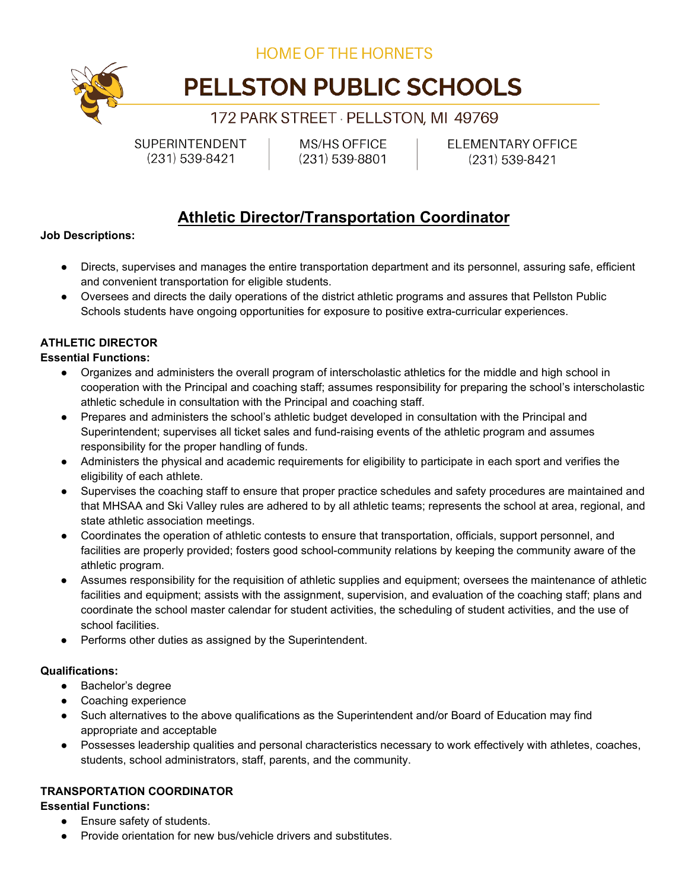**HOME OF THE HORNETS** 

# PELLSTON PUBLIC SCHOOLS

## 172 PARK STREET PELLSTON, MI 49769

SUPERINTENDENT  $(231)$  539-8421

MS/HS OFFICE  $(231) 539 - 8801$  **ELEMENTARY OFFICE**  $(231)$  539-8421

# **Athletic Director/Transportation Coordinator**

#### **Job Descriptions:**

- Directs, supervises and manages the entire transportation department and its personnel, assuring safe, efficient and convenient transportation for eligible students.
- Oversees and directs the daily operations of the district athletic programs and assures that Pellston Public Schools students have ongoing opportunities for exposure to positive extra-curricular experiences.

### **ATHLETIC DIRECTOR**

#### **Essential Functions:**

- Organizes and administers the overall program of interscholastic athletics for the middle and high school in cooperation with the Principal and coaching staff; assumes responsibility for preparing the school's interscholastic athletic schedule in consultation with the Principal and coaching staff.
- Prepares and administers the school's athletic budget developed in consultation with the Principal and Superintendent; supervises all ticket sales and fund-raising events of the athletic program and assumes responsibility for the proper handling of funds.
- Administers the physical and academic requirements for eligibility to participate in each sport and verifies the eligibility of each athlete.
- Supervises the coaching staff to ensure that proper practice schedules and safety procedures are maintained and that MHSAA and Ski Valley rules are adhered to by all athletic teams; represents the school at area, regional, and state athletic association meetings.
- Coordinates the operation of athletic contests to ensure that transportation, officials, support personnel, and facilities are properly provided; fosters good school-community relations by keeping the community aware of the athletic program.
- Assumes responsibility for the requisition of athletic supplies and equipment; oversees the maintenance of athletic facilities and equipment; assists with the assignment, supervision, and evaluation of the coaching staff; plans and coordinate the school master calendar for student activities, the scheduling of student activities, and the use of school facilities.
- Performs other duties as assigned by the Superintendent.

### **Qualifications:**

- Bachelor's degree
- Coaching experience
- Such alternatives to the above qualifications as the Superintendent and/or Board of Education may find appropriate and acceptable
- Possesses leadership qualities and personal characteristics necessary to work effectively with athletes, coaches, students, school administrators, staff, parents, and the community.

### **TRANSPORTATION COORDINATOR**

### **Essential Functions:**

- Ensure safety of students.
- Provide orientation for new bus/vehicle drivers and substitutes.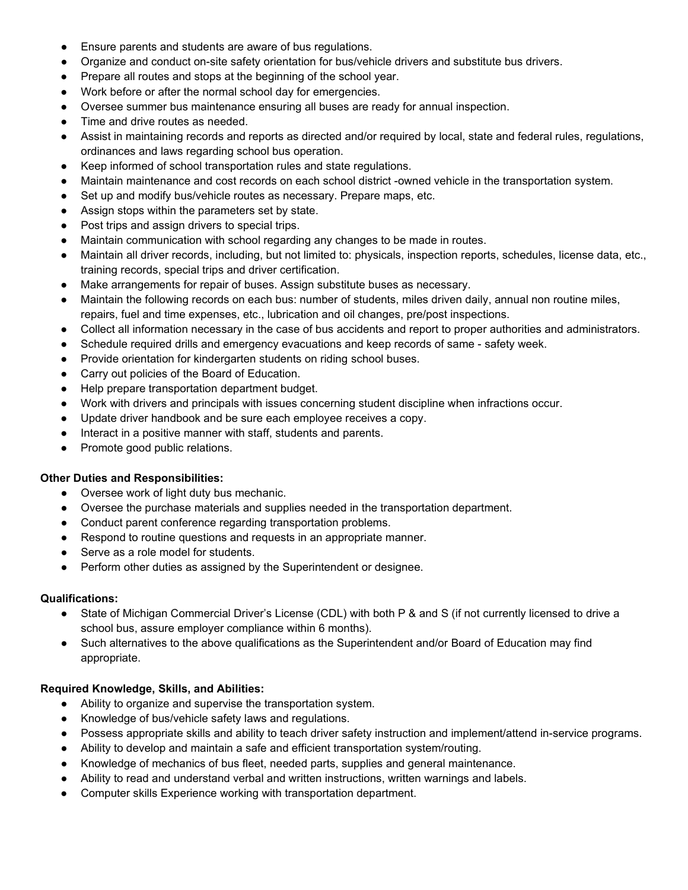- Ensure parents and students are aware of bus regulations.
- Organize and conduct on-site safety orientation for bus/vehicle drivers and substitute bus drivers.
- Prepare all routes and stops at the beginning of the school year.
- Work before or after the normal school day for emergencies.
- Oversee summer bus maintenance ensuring all buses are ready for annual inspection.
- Time and drive routes as needed.
- Assist in maintaining records and reports as directed and/or required by local, state and federal rules, regulations, ordinances and laws regarding school bus operation.
- Keep informed of school transportation rules and state regulations.
- Maintain maintenance and cost records on each school district -owned vehicle in the transportation system.
- Set up and modify bus/vehicle routes as necessary. Prepare maps, etc.
- Assign stops within the parameters set by state.
- Post trips and assign drivers to special trips.
- Maintain communication with school regarding any changes to be made in routes.
- Maintain all driver records, including, but not limited to: physicals, inspection reports, schedules, license data, etc., training records, special trips and driver certification.
- Make arrangements for repair of buses. Assign substitute buses as necessary.
- Maintain the following records on each bus: number of students, miles driven daily, annual non routine miles, repairs, fuel and time expenses, etc., lubrication and oil changes, pre/post inspections.
- Collect all information necessary in the case of bus accidents and report to proper authorities and administrators.
- Schedule required drills and emergency evacuations and keep records of same safety week.
- Provide orientation for kindergarten students on riding school buses.
- Carry out policies of the Board of Education.
- Help prepare transportation department budget.
- Work with drivers and principals with issues concerning student discipline when infractions occur.
- Update driver handbook and be sure each employee receives a copy.
- Interact in a positive manner with staff, students and parents.
- Promote good public relations.

#### **Other Duties and Responsibilities:**

- Oversee work of light duty bus mechanic.
- Oversee the purchase materials and supplies needed in the transportation department.
- Conduct parent conference regarding transportation problems.
- Respond to routine questions and requests in an appropriate manner.
- Serve as a role model for students.
- Perform other duties as assigned by the Superintendent or designee.

#### **Qualifications:**

- State of Michigan Commercial Driver's License (CDL) with both P & and S (if not currently licensed to drive a school bus, assure employer compliance within 6 months).
- Such alternatives to the above qualifications as the Superintendent and/or Board of Education may find appropriate.

#### **Required Knowledge, Skills, and Abilities:**

- Ability to organize and supervise the transportation system.
- Knowledge of bus/vehicle safety laws and regulations.
- Possess appropriate skills and ability to teach driver safety instruction and implement/attend in-service programs.
- Ability to develop and maintain a safe and efficient transportation system/routing.
- Knowledge of mechanics of bus fleet, needed parts, supplies and general maintenance.
- Ability to read and understand verbal and written instructions, written warnings and labels.
- Computer skills Experience working with transportation department.